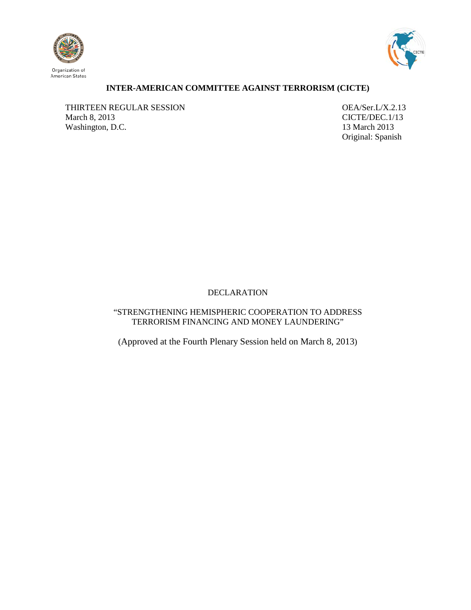



## **INTER-AMERICAN COMMITTEE AGAINST TERRORISM (CICTE)**

THIRTEEN REGULAR SESSION OEA/Ser.L/X.2.13 March 8, 2013<br>Washington, D.C. 13 March 2013 Washington, D.C.

Original: Spanish

# DECLARATION

"STRENGTHENING HEMISPHERIC COOPERATION TO ADDRESS TERRORISM FINANCING AND MONEY LAUNDERING"

<span id="page-0-0"></span>(Approved at the Fourth Plenary Session held on March 8, 2013)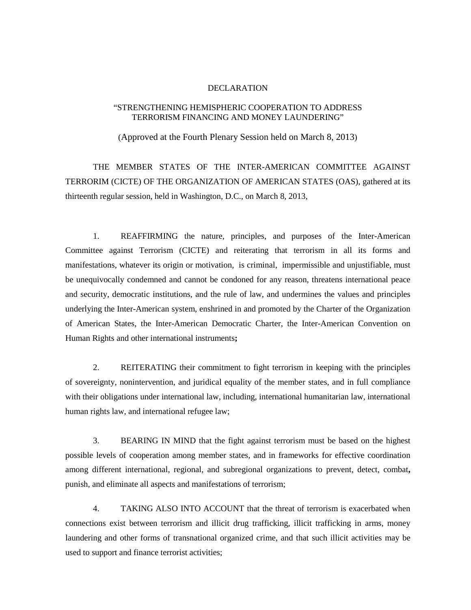#### DECLARATION

### "STRENGTHENING HEMISPHERIC COOPERATION TO ADDRESS TERRORISM FINANCING AND MONEY LAUNDERING"

(Approved at the Fourth Plenary Session held on March 8, 2013)

THE MEMBER STATES OF THE INTER-AMERICAN COMMITTEE AGAINST TERRORIM (CICTE) OF THE ORGANIZATION OF AMERICAN STATES (OAS), gathered at its thirteenth regular session, held in Washington, D.C., on March 8, 2013,

1. REAFFIRMING the nature, principles, and purposes of the Inter-American Committee against Terrorism (CICTE) and reiterating that terrorism in all its forms and manifestations, whatever its origin or motivation, is criminal, impermissible and unjustifiable, must be unequivocally condemned and cannot be condoned for any reason, threatens international peace and security, democratic institutions, and the rule of law, and undermines the values and principles underlying the Inter-American system, enshrined in and promoted by the Charter of the Organization of American States, the Inter-American Democratic Charter, the Inter-American Convention on Human Rights and other international instruments**;**

2. REITERATING their commitment to fight terrorism in keeping with the principles of sovereignty, nonintervention, and juridical equality of the member states, and in full compliance with their obligations under international law, including, international humanitarian law, international human rights law, and international refugee law;

3. BEARING IN MIND that the fight against terrorism must be based on the highest possible levels of cooperation among member states, and in frameworks for effective coordination among different international, regional, and subregional organizations to prevent, detect, combat**,**  punish, and eliminate all aspects and manifestations of terrorism;

4. TAKING ALSO INTO ACCOUNT that the threat of terrorism is exacerbated when connections exist between terrorism and illicit drug trafficking, illicit trafficking in arms, money laundering and other forms of transnational organized crime, and that such illicit activities may be used to support and finance terrorist activities;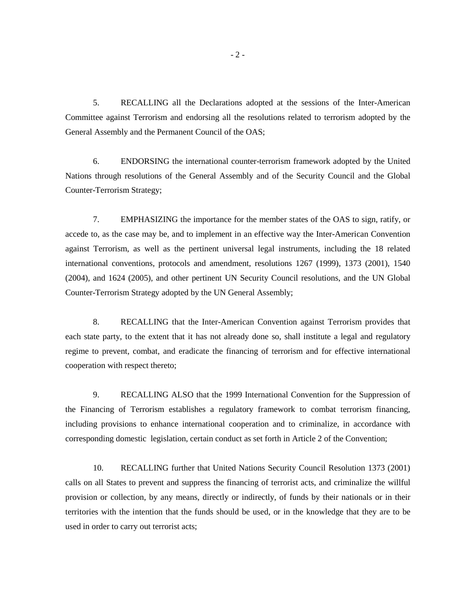5. RECALLING all the Declarations adopted at the sessions of the Inter-American Committee against Terrorism and endorsing all the resolutions related to terrorism adopted by the General Assembly and the Permanent Council of the OAS;

6. ENDORSING the international counter-terrorism framework adopted by the United Nations through resolutions of the General Assembly and of the Security Council and the Global Counter-Terrorism Strategy;

7. EMPHASIZING the importance for the member states of the OAS to sign, ratify, or accede to, as the case may be, and to implement in an effective way the Inter-American Convention against Terrorism, as well as the pertinent universal legal instruments, including the 18 related international conventions, protocols and amendment, resolutions 1267 (1999), 1373 (2001), 1540 (2004), and 1624 (2005), and other pertinent UN Security Council resolutions, and the UN Global Counter-Terrorism Strategy adopted by the UN General Assembly;

8. RECALLING that the Inter-American Convention against Terrorism provides that each state party, to the extent that it has not already done so, shall institute a legal and regulatory regime to prevent, combat, and eradicate the financing of terrorism and for effective international cooperation with respect thereto;

9. RECALLING ALSO that the 1999 International Convention for the Suppression of the Financing of Terrorism establishes a regulatory framework to combat terrorism financing, including provisions to enhance international cooperation and to criminalize, in accordance with corresponding domestic legislation, certain conduct as set forth in Article 2 of the Convention;

10. RECALLING further that United Nations Security Council Resolution 1373 (2001) calls on all States to prevent and suppress the financing of terrorist acts, and criminalize the willful provision or collection, by any means, directly or indirectly, of funds by their nationals or in their territories with the intention that the funds should be used, or in the knowledge that they are to be used in order to carry out terrorist acts;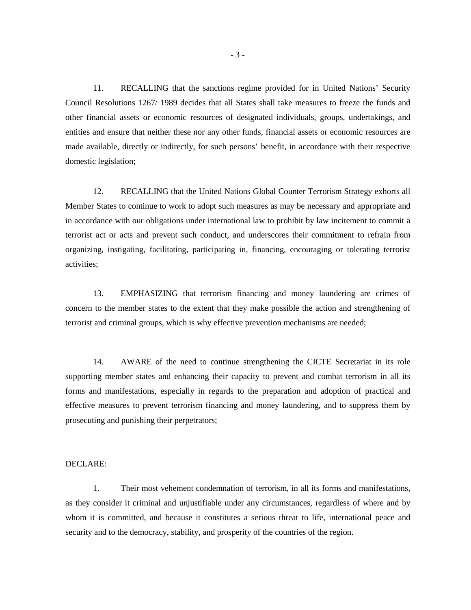11. RECALLING that the sanctions regime provided for in United Nations' Security Council Resolutions 1267/ 1989 decides that all States shall take measures to freeze the funds and other financial assets or economic resources of designated individuals, groups, undertakings, and entities and ensure that neither these nor any other funds, financial assets or economic resources are made available, directly or indirectly, for such persons' benefit, in accordance with their respective domestic legislation;

12. RECALLING that the United Nations Global Counter Terrorism Strategy exhorts all Member States to continue to work to adopt such measures as may be necessary and appropriate and in accordance with our obligations under international law to prohibit by law incitement to commit a terrorist act or acts and prevent such conduct, and underscores their commitment to refrain from organizing, instigating, facilitating, participating in, financing, encouraging or tolerating terrorist activities;

13. EMPHASIZING that terrorism financing and money laundering are crimes of concern to the member states to the extent that they make possible the action and strengthening of terrorist and criminal groups, which is why effective prevention mechanisms are needed;

14. AWARE of the need to continue strengthening the CICTE Secretariat in its role supporting member states and enhancing their capacity to prevent and combat terrorism in all its forms and manifestations, especially in regards to the preparation and adoption of practical and effective measures to prevent terrorism financing and money laundering, and to suppress them by prosecuting and punishing their perpetrators;

#### DECLARE:

1. Their most vehement condemnation of terrorism, in all its forms and manifestations, as they consider it criminal and unjustifiable under any circumstances, regardless of where and by whom it is committed, and because it constitutes a serious threat to life, international peace and security and to the democracy, stability, and prosperity of the countries of the region.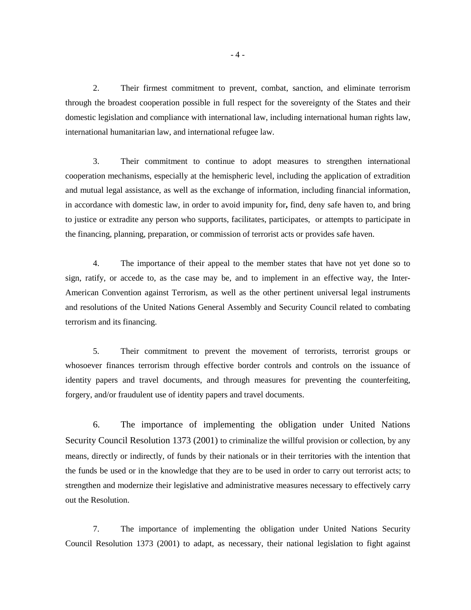2. Their firmest commitment to prevent, combat, sanction, and eliminate terrorism through the broadest cooperation possible in full respect for the sovereignty of the States and their domestic legislation and compliance with international law, including international human rights law, international humanitarian law, and international refugee law.

3. Their commitment to continue to adopt measures to strengthen international cooperation mechanisms, especially at the hemispheric level, including the application of extradition and mutual legal assistance, as well as the exchange of information, including financial information, in accordance with domestic law, in order to avoid impunity for**,** find, deny safe haven to, and bring to justice or extradite any person who supports, facilitates, participates, or attempts to participate in the financing, planning, preparation, or commission of terrorist acts or provides safe haven.

4. The importance of their appeal to the member states that have not yet done so to sign, ratify, or accede to, as the case may be, and to implement in an effective way, the Inter-American Convention against Terrorism, as well as the other pertinent universal legal instruments and resolutions of the United Nations General Assembly and Security Council related to combating terrorism and its financing.

5. Their commitment to prevent the movement of terrorists, terrorist groups or whosoever finances terrorism through effective border controls and controls on the issuance of identity papers and travel documents, and through measures for preventing the counterfeiting, forgery, and/or fraudulent use of identity papers and travel documents.

6. The importance of implementing the obligation under United Nations Security Council Resolution 1373 (2001) to criminalize the willful provision or collection, by any means, directly or indirectly, of funds by their nationals or in their territories with the intention that the funds be used or in the knowledge that they are to be used in order to carry out terrorist acts; to strengthen and modernize their legislative and administrative measures necessary to effectively carry out the Resolution.

7. The importance of implementing the obligation under United Nations Security Council Resolution 1373 (2001) to adapt, as necessary, their national legislation to fight against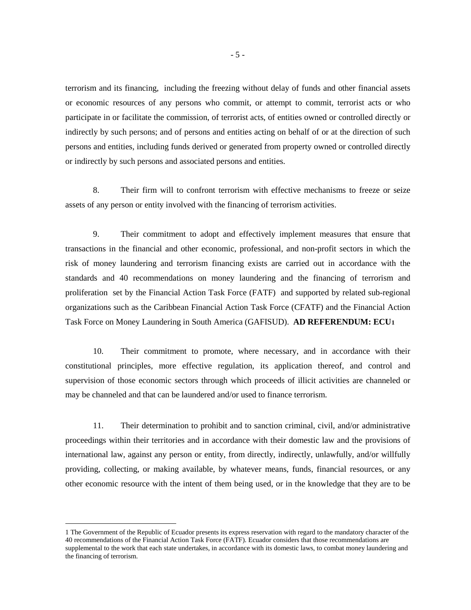terrorism and its financing, including the freezing without delay of funds and other financial assets or economic resources of any persons who commit, or attempt to commit, terrorist acts or who participate in or facilitate the commission, of terrorist acts, of entities owned or controlled directly or indirectly by such persons; and of persons and entities acting on behalf of or at the direction of such persons and entities, including funds derived or generated from property owned or controlled directly or indirectly by such persons and associated persons and entities.

8. Their firm will to confront terrorism with effective mechanisms to freeze or seize assets of any person or entity involved with the financing of terrorism activities.

9. Their commitment to adopt and effectively implement measures that ensure that transactions in the financial and other economic, professional, and non-profit sectors in which the risk of money laundering and terrorism financing exists are carried out in accordance with the standards and 40 recommendations on money laundering and the financing of terrorism and proliferation set by the Financial Action Task Force (FATF) and supported by related sub-regional organizations such as the Caribbean Financial Action Task Force (CFATF) and the Financial Action Task Force on Money Laundering in South America (GAFISUD). **AD REFERENDUM: ECU[1](#page-0-0)**

10. Their commitment to promote, where necessary, and in accordance with their constitutional principles, more effective regulation, its application thereof, and control and supervision of those economic sectors through which proceeds of illicit activities are channeled or may be channeled and that can be laundered and/or used to finance terrorism.

11. Their determination to prohibit and to sanction criminal, civil, and/or administrative proceedings within their territories and in accordance with their domestic law and the provisions of international law, against any person or entity, from directly, indirectly, unlawfully, and/or willfully providing, collecting, or making available, by whatever means, funds, financial resources, or any other economic resource with the intent of them being used, or in the knowledge that they are to be

<span id="page-5-0"></span> <sup>1</sup> The Government of the Republic of Ecuador presents its express reservation with regard to the mandatory character of the 40 recommendations of the Financial Action Task Force (FATF). Ecuador considers that those recommendations are supplemental to the work that each state undertakes, in accordance with its domestic laws, to combat money laundering and the financing of terrorism.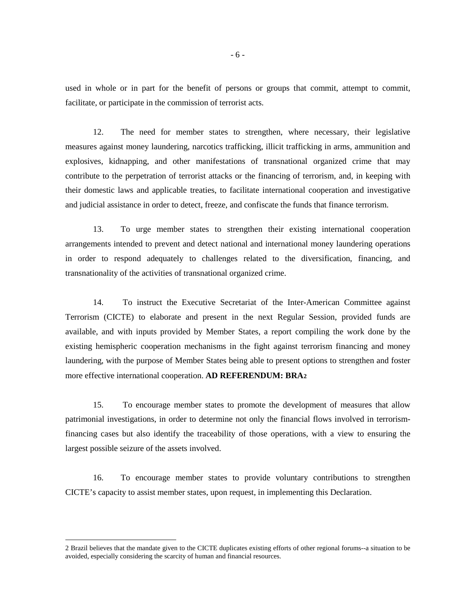used in whole or in part for the benefit of persons or groups that commit, attempt to commit, facilitate, or participate in the commission of terrorist acts.

12. The need for member states to strengthen, where necessary, their legislative measures against money laundering, narcotics trafficking, illicit trafficking in arms, ammunition and explosives, kidnapping, and other manifestations of transnational organized crime that may contribute to the perpetration of terrorist attacks or the financing of terrorism, and, in keeping with their domestic laws and applicable treaties, to facilitate international cooperation and investigative and judicial assistance in order to detect, freeze, and confiscate the funds that finance terrorism.

13. To urge member states to strengthen their existing international cooperation arrangements intended to prevent and detect national and international money laundering operations in order to respond adequately to challenges related to the diversification, financing, and transnationality of the activities of transnational organized crime.

14. To instruct the Executive Secretariat of the Inter-American Committee against Terrorism (CICTE) to elaborate and present in the next Regular Session, provided funds are available, and with inputs provided by Member States, a report compiling the work done by the existing hemispheric cooperation mechanisms in the fight against terrorism financing and money laundering, with the purpose of Member States being able to present options to strengthen and foster more effective international cooperation. **AD REFERENDUM: BRA[2](#page-5-0)**

15. To encourage member states to promote the development of measures that allow patrimonial investigations, in order to determine not only the financial flows involved in terrorismfinancing cases but also identify the traceability of those operations, with a view to ensuring the largest possible seizure of the assets involved.

16. To encourage member states to provide voluntary contributions to strengthen CICTE's capacity to assist member states, upon request, in implementing this Declaration.

 <sup>2</sup> Brazil believes that the mandate given to the CICTE duplicates existing efforts of other regional forums--a situation to be avoided, especially considering the scarcity of human and financial resources.